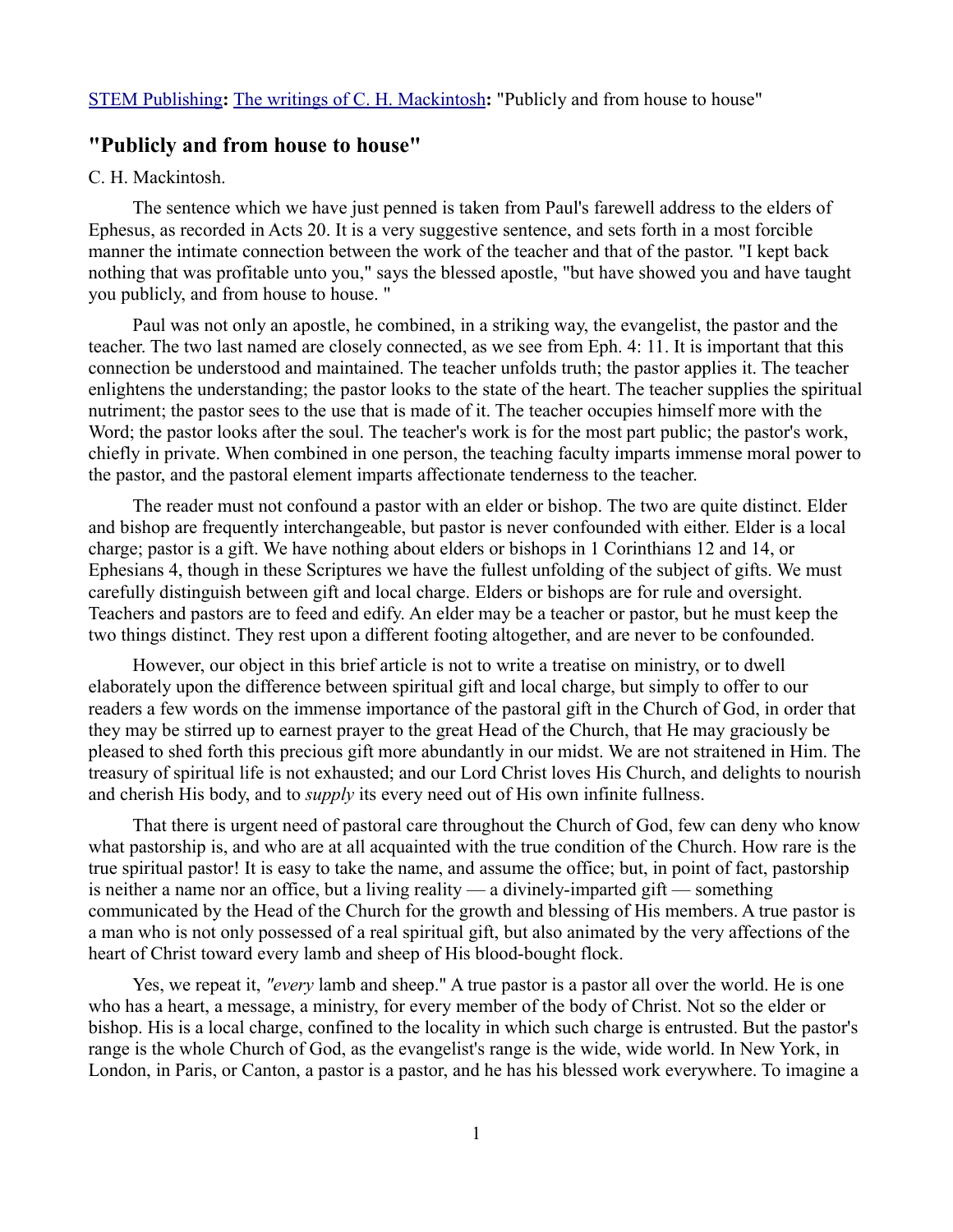## [STEM Publishing](http://www.stempublishing.com/)**:** [The writings of C. H. Mackintosh](http://www.stempublishing.com/authors/mackintosh/index.html)**:** "Publicly and from house to house"

## **"Publicly and from house to house"**

## C. H. Mackintosh.

The sentence which we have just penned is taken from Paul's farewell address to the elders of Ephesus, as recorded in Acts 20. It is a very suggestive sentence, and sets forth in a most forcible manner the intimate connection between the work of the teacher and that of the pastor. "I kept back nothing that was profitable unto you," says the blessed apostle, "but have showed you and have taught you publicly, and from house to house. "

Paul was not only an apostle, he combined, in a striking way, the evangelist, the pastor and the teacher. The two last named are closely connected, as we see from Eph. 4: 11. It is important that this connection be understood and maintained. The teacher unfolds truth; the pastor applies it. The teacher enlightens the understanding; the pastor looks to the state of the heart. The teacher supplies the spiritual nutriment; the pastor sees to the use that is made of it. The teacher occupies himself more with the Word; the pastor looks after the soul. The teacher's work is for the most part public; the pastor's work, chiefly in private. When combined in one person, the teaching faculty imparts immense moral power to the pastor, and the pastoral element imparts affectionate tenderness to the teacher.

The reader must not confound a pastor with an elder or bishop. The two are quite distinct. Elder and bishop are frequently interchangeable, but pastor is never confounded with either. Elder is a local charge; pastor is a gift. We have nothing about elders or bishops in 1 Corinthians 12 and 14, or Ephesians 4, though in these Scriptures we have the fullest unfolding of the subject of gifts. We must carefully distinguish between gift and local charge. Elders or bishops are for rule and oversight. Teachers and pastors are to feed and edify. An elder may be a teacher or pastor, but he must keep the two things distinct. They rest upon a different footing altogether, and are never to be confounded.

However, our object in this brief article is not to write a treatise on ministry, or to dwell elaborately upon the difference between spiritual gift and local charge, but simply to offer to our readers a few words on the immense importance of the pastoral gift in the Church of God, in order that they may be stirred up to earnest prayer to the great Head of the Church, that He may graciously be pleased to shed forth this precious gift more abundantly in our midst. We are not straitened in Him. The treasury of spiritual life is not exhausted; and our Lord Christ loves His Church, and delights to nourish and cherish His body, and to *supply* its every need out of His own infinite fullness.

That there is urgent need of pastoral care throughout the Church of God, few can deny who know what pastorship is, and who are at all acquainted with the true condition of the Church. How rare is the true spiritual pastor! It is easy to take the name, and assume the office; but, in point of fact, pastorship is neither a name nor an office, but a living reality — a divinely-imparted gift — something communicated by the Head of the Church for the growth and blessing of His members. A true pastor is a man who is not only possessed of a real spiritual gift, but also animated by the very affections of the heart of Christ toward every lamb and sheep of His blood-bought flock.

Yes, we repeat it, *"every* lamb and sheep." A true pastor is a pastor all over the world. He is one who has a heart, a message, a ministry, for every member of the body of Christ. Not so the elder or bishop. His is a local charge, confined to the locality in which such charge is entrusted. But the pastor's range is the whole Church of God, as the evangelist's range is the wide, wide world. In New York, in London, in Paris, or Canton, a pastor is a pastor, and he has his blessed work everywhere. To imagine a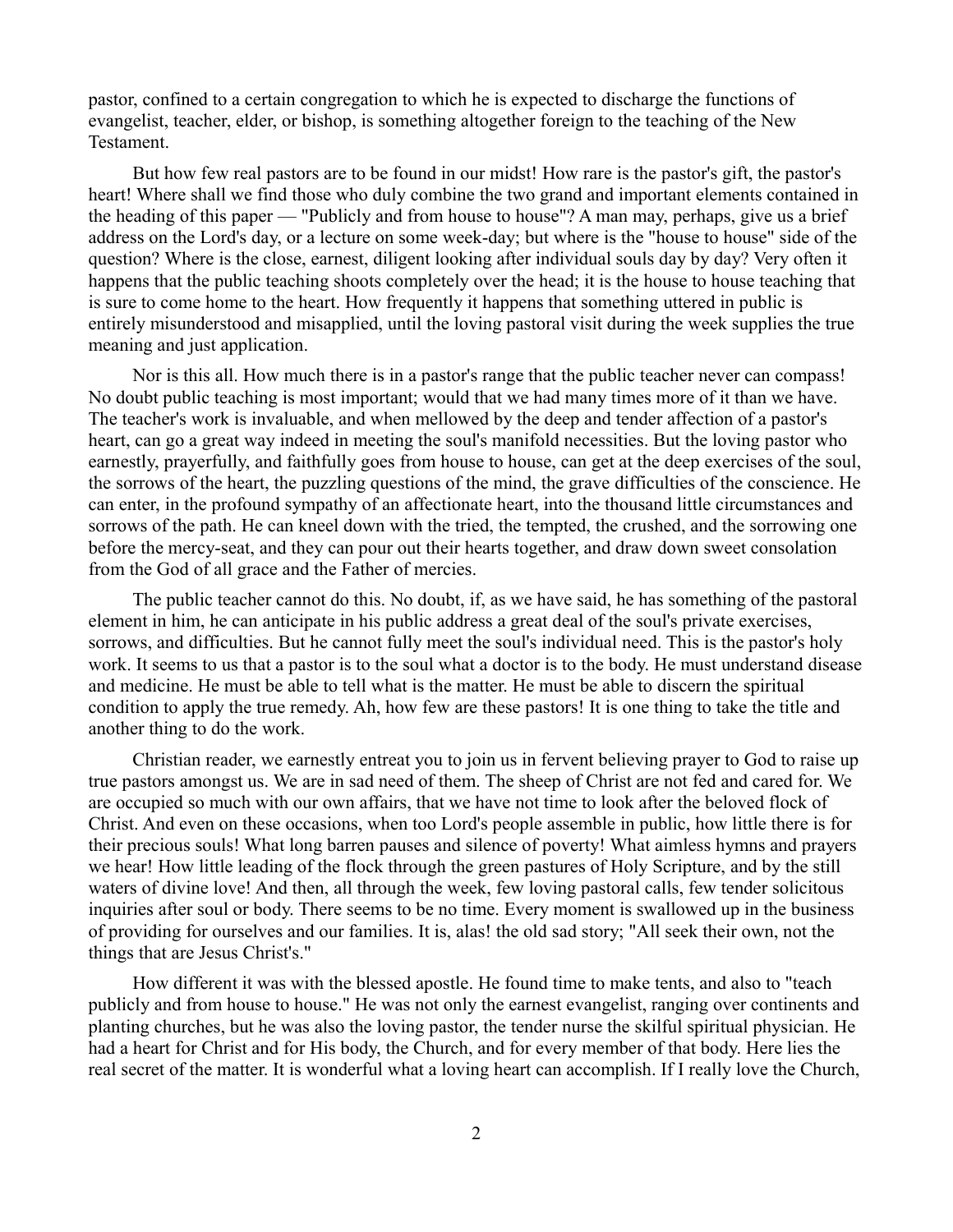pastor, confined to a certain congregation to which he is expected to discharge the functions of evangelist, teacher, elder, or bishop, is something altogether foreign to the teaching of the New Testament.

But how few real pastors are to be found in our midst! How rare is the pastor's gift, the pastor's heart! Where shall we find those who duly combine the two grand and important elements contained in the heading of this paper — "Publicly and from house to house"? A man may, perhaps, give us a brief address on the Lord's day, or a lecture on some week-day; but where is the "house to house" side of the question? Where is the close, earnest, diligent looking after individual souls day by day? Very often it happens that the public teaching shoots completely over the head; it is the house to house teaching that is sure to come home to the heart. How frequently it happens that something uttered in public is entirely misunderstood and misapplied, until the loving pastoral visit during the week supplies the true meaning and just application.

Nor is this all. How much there is in a pastor's range that the public teacher never can compass! No doubt public teaching is most important; would that we had many times more of it than we have. The teacher's work is invaluable, and when mellowed by the deep and tender affection of a pastor's heart, can go a great way indeed in meeting the soul's manifold necessities. But the loving pastor who earnestly, prayerfully, and faithfully goes from house to house, can get at the deep exercises of the soul, the sorrows of the heart, the puzzling questions of the mind, the grave difficulties of the conscience. He can enter, in the profound sympathy of an affectionate heart, into the thousand little circumstances and sorrows of the path. He can kneel down with the tried, the tempted, the crushed, and the sorrowing one before the mercy-seat, and they can pour out their hearts together, and draw down sweet consolation from the God of all grace and the Father of mercies.

The public teacher cannot do this. No doubt, if, as we have said, he has something of the pastoral element in him, he can anticipate in his public address a great deal of the soul's private exercises, sorrows, and difficulties. But he cannot fully meet the soul's individual need. This is the pastor's holy work. It seems to us that a pastor is to the soul what a doctor is to the body. He must understand disease and medicine. He must be able to tell what is the matter. He must be able to discern the spiritual condition to apply the true remedy. Ah, how few are these pastors! It is one thing to take the title and another thing to do the work.

Christian reader, we earnestly entreat you to join us in fervent believing prayer to God to raise up true pastors amongst us. We are in sad need of them. The sheep of Christ are not fed and cared for. We are occupied so much with our own affairs, that we have not time to look after the beloved flock of Christ. And even on these occasions, when too Lord's people assemble in public, how little there is for their precious souls! What long barren pauses and silence of poverty! What aimless hymns and prayers we hear! How little leading of the flock through the green pastures of Holy Scripture, and by the still waters of divine love! And then, all through the week, few loving pastoral calls, few tender solicitous inquiries after soul or body. There seems to be no time. Every moment is swallowed up in the business of providing for ourselves and our families. It is, alas! the old sad story; "All seek their own, not the things that are Jesus Christ's."

How different it was with the blessed apostle. He found time to make tents, and also to "teach publicly and from house to house." He was not only the earnest evangelist, ranging over continents and planting churches, but he was also the loving pastor, the tender nurse the skilful spiritual physician. He had a heart for Christ and for His body, the Church, and for every member of that body. Here lies the real secret of the matter. It is wonderful what a loving heart can accomplish. If I really love the Church,